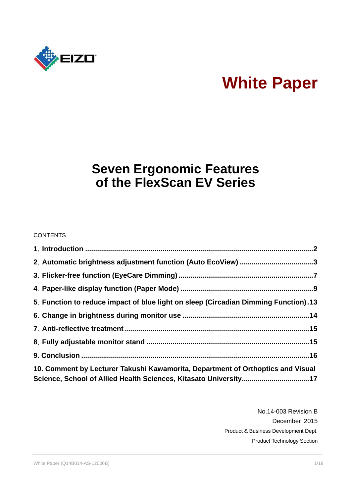

# **White Paper**

# **Seven Ergonomic Features of the FlexScan EV Series**

#### **CONTENTS**

| 2. Automatic brightness adjustment function (Auto EcoView) 3                        |  |
|-------------------------------------------------------------------------------------|--|
|                                                                                     |  |
|                                                                                     |  |
| 5. Function to reduce impact of blue light on sleep (Circadian Dimming Function).13 |  |
|                                                                                     |  |
|                                                                                     |  |
|                                                                                     |  |
|                                                                                     |  |
| 10. Comment by Lecturer Takushi Kawamorita, Department of Orthoptics and Visual     |  |
| Science, School of Allied Health Sciences, Kitasato University17                    |  |

No.14-003 Revision B December 2015 Product & Business Development Dept. Product Technology Section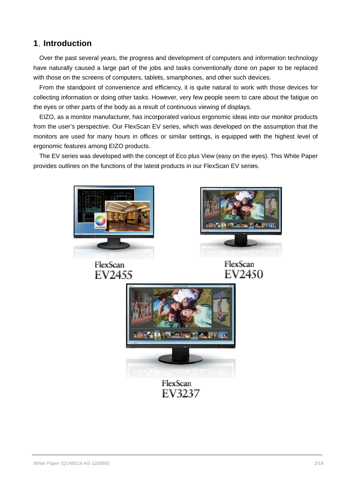# **1.** Introduction

Over the past several years, the progress and development of computers and information technology Over the past several years, the progress and development of computers and information technology<br>have naturally caused a large part of the jobs and tasks conventionally done on paper to be replaced<br>with those on the scree have naturally caused a large part of the jobs and tasks conventionally done on pape<br>with those on the screens of computers, tablets, smartphones, and other such devices.

th those on the screens of computers, tablets, smartphones, and other such devices.<br>From the standpoint of convenience and efficiency, it is quite natural to work with those devices for collecting information or doing other tasks. However, very few people seem to care about the fatigue on the eyes or other parts of the body as a result of rom the standpoint of convenience and efficiency, it is quite natural to work with those devices for<br>ecting information or doing other tasks. However, very few people seem to care about the fatigue on<br>eyes or other parts o Over the past several years, the progress and development of computers and information technology<br>we naturally caused a large part of the jobs and tasks conventionally done on paper to be replaced<br>th those on the screens o have naturally caused a large part of the jobs and tasks conventionally done on paper to be replac<br>with those on the screens of computers, tablets, smartphones, and other such devices.<br>From the standpoint of convenience an

e eyes or other parts of the body as a result of continuous viewing of displays.<br>EIZO, as a monitor manufacturer, has incorporated various ergonomic ideas into our monitor products from the user's perspective. Our FlexScan EV series, which was developed on the assumption that the EIZO, as a monitor manufacturer, has incorporated various ergonomic ideas into our monitor products<br>from the user's perspective. Our FlexScan EV series, which was developed on the assumption that the<br>monitors are used for ergonomic features among EIZO products. onitors are used for many hours in offices or similar settings, is equipped with the highest level of<br>gonomic features among EIZO products.<br>The EV series was developed with the concept of Eco plus View (easy on the eyes). r is a monitor manufacturer, has incorporated various ergonomic ideas into our monitor products<br>ser's perspective. Our FlexScan EV series, which was developed on the assumption that the<br>are used for many hours in offices o Over the past several years, the progress and development of computers and information technology<br>have naturally caused a large part of the jobs and tasks conventionally done on paper to be replaced<br>with those on the scree the standpoint of convenience and efficiency, it is quite natural to work with those devices<br>g information or doing other tasks. However, very few people seem to care about the fatigue<br>or other parts of the body as a resul

provides outlines on the functions ergonomic features among EIZO products.<br>The EV series was developed with the concept of Eco plus View (easy on the eyes). This White<br>provides outlines on the functions of the latest products in our FlexScan EV series.

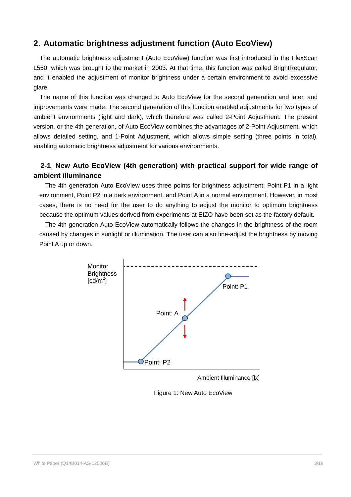# **2**.**Automatic brightness adjustment function (Auto EcoView)**

The automatic brightness adjustment (Auto EcoView) function was first introduced in the FlexScan L550, which was brought to the market in 2003. At that time, this function was called BrightRegulator, and it enabled the adjustment of monitor brightness under a certain environment to avoid excessive glare.

The name of this function was changed to Auto EcoView for the second generation and later, and improvements were made. The second generation of this function enabled adjustments for two types of ambient environments (light and dark), which therefore was called 2-Point Adjustment. The present version, or the 4th generation, of Auto EcoView combines the advantages of 2-Point Adjustment, which allows detailed setting, and 1-Point Adjustment, which allows simple setting (three points in total), enabling automatic brightness adjustment for various environments.

# **2-1**.**New Auto EcoView (4th generation) with practical support for wide range of ambient illuminance**

The 4th generation Auto EcoView uses three points for brightness adjustment: Point P1 in a light environment, Point P2 in a dark environment, and Point A in a normal environment. However, in most cases, there is no need for the user to do anything to adjust the monitor to optimum brightness because the optimum values derived from experiments at EIZO have been set as the factory default.

The 4th generation Auto EcoView automatically follows the changes in the brightness of the room caused by changes in sunlight or illumination. The user can also fine-adjust the brightness by moving Point A up or down.



Ambient Illuminance [lx]

Figure 1: New Auto EcoView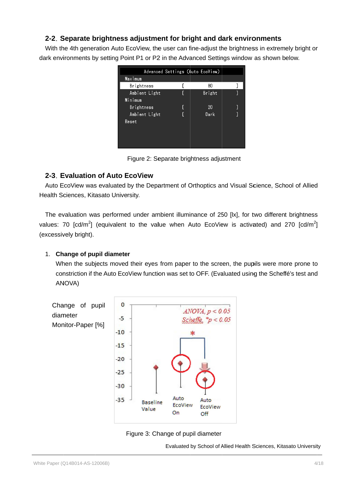#### **2-2**.**Separate brightness adjustment for bright and dark environments bright and environments**

| 2-2. Separate brightness adjustment for bright and dark environments |               |                                          |                                                                                                                       |
|----------------------------------------------------------------------|---------------|------------------------------------------|-----------------------------------------------------------------------------------------------------------------------|
|                                                                      |               |                                          | With the 4th generation Auto EcoView, the user can fine-adjust the brightness in extremely bright or                  |
|                                                                      |               |                                          | dark environments by setting Point P1 or P2 in the Advanced Settings window as shown below.                           |
|                                                                      | Maximum       | Advanced Settings (Auto EcoView)         |                                                                                                                       |
|                                                                      | Brightness    | ſ<br>80                                  | J                                                                                                                     |
|                                                                      | Ambient Light | ſ<br>Bright                              | $\mathbf{1}$                                                                                                          |
|                                                                      | Minimum       |                                          |                                                                                                                       |
|                                                                      | Brightness    | 20                                       |                                                                                                                       |
|                                                                      | Ambient Light | Dark<br>L                                | 1                                                                                                                     |
|                                                                      | Reset         |                                          |                                                                                                                       |
|                                                                      |               |                                          |                                                                                                                       |
|                                                                      |               |                                          |                                                                                                                       |
|                                                                      |               |                                          |                                                                                                                       |
|                                                                      |               | Figure 2: Separate brightness adjustment |                                                                                                                       |
| 2-3. Evaluation of Auto EcoView                                      |               |                                          |                                                                                                                       |
|                                                                      |               |                                          | Auto EcoView was evaluated by the Department of Orthoptics and Visual Science, School of Allied                       |
|                                                                      |               |                                          |                                                                                                                       |
| Health Sciences, Kitasato University.                                |               |                                          |                                                                                                                       |
|                                                                      |               |                                          |                                                                                                                       |
|                                                                      |               |                                          | The evaluation was performed under ambient illuminance of 250 [lx], for two different brightness                      |
|                                                                      |               |                                          | values: 70 [cd/m <sup>2</sup> ] (equivalent to the value when Auto EcoView is activated) and 270 [cd/m <sup>2</sup> ] |
|                                                                      |               |                                          |                                                                                                                       |
| (excessively bright).                                                |               |                                          |                                                                                                                       |
|                                                                      |               |                                          |                                                                                                                       |
| <b>Change of pupil diameter</b><br>1.                                |               |                                          |                                                                                                                       |
|                                                                      |               |                                          | When the subjects moved their eyes from paper to the screen, the pupils were more prone to                            |
|                                                                      |               |                                          |                                                                                                                       |
|                                                                      |               |                                          | constriction if the Auto EcoView function was set to OFF. (Evaluated using the Scheffé's test and                     |
| ANOVA)                                                               |               |                                          |                                                                                                                       |
|                                                                      |               |                                          |                                                                                                                       |
|                                                                      |               |                                          |                                                                                                                       |
| Change of pupil                                                      | 0             | ANOVA, p < 0.05                          |                                                                                                                       |
| diameter                                                             | -5            |                                          |                                                                                                                       |
| Monitor-Paper [%]                                                    |               | Scheffe, $p < 0.05$                      |                                                                                                                       |

Figure 2: Separate brightness adjustment

#### **2-3**.**Evaluation of Auto EcoView**

#### 1. **Change of pupil diameter**





Evaluated by School of Allied Health Sciences, Kitasato University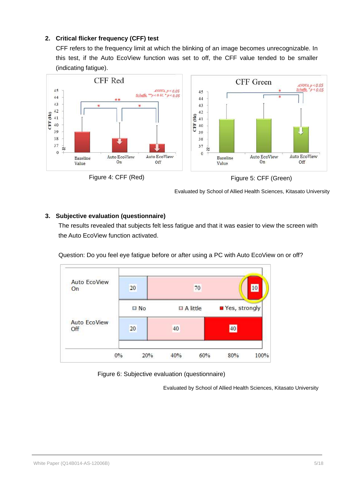#### **2. Critical flicker frequency (CFF) test**

CFF refers to the frequency limit at which the blinking of an image becomes unrecognizable. In this test, if the Auto EcoView function was set to off, the CFF value tended to be smaller (indicating fatigue).



Evaluated by School of Allied Health Sciences, Kitasato University

#### **3. Subjective evaluation (questionnaire)**

The results revealed that subjects felt less fatigue and that it was easier to view the screen with the Auto EcoView function activated.



Question: Do you feel eye fatigue before or after using a PC with Auto EcoView on or off?

Figure 6: Subjective evaluation (questionnaire)

Evaluated by School of Allied Health Sciences, Kitasato University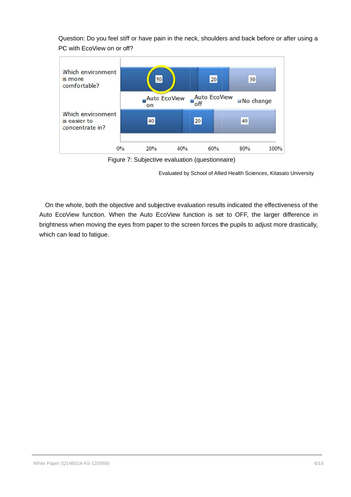Question: Do you feel stiff or have pain in the neck, shoulders and back before or after using a PC with EcoView on or off?



Figure 7: Subjective evaluation (questionnaire)

Evaluated by School of Allied Health Sciences, Kitasato University

On the whole, both the objective and subjective evaluation results indicated the effectiveness of the Auto EcoView function. When the Auto EcoView function is set to OFF, the larger difference in brightness when moving the eyes from paper to the screen forces the pupils to adjust more drastically, which can lead to fatigue. Figure 7: Subjective evaluation (questionnaire)<br>Evaluated by School of Allied Health Sciences, Kitasato University<br>Whole, both the objective and subjective evaluation results indicated the effectiveness of th<br>Yiew function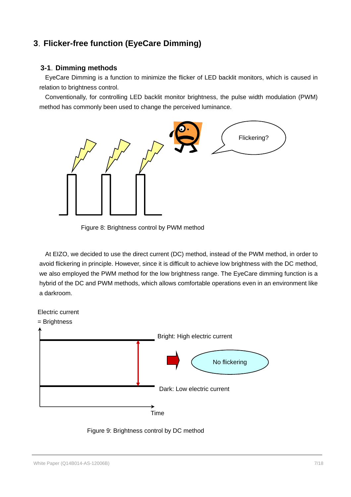# **3**.**Flicker-free function (EyeCare Dimming)**

#### **3-1**.**Dimming methods**

EyeCare Dimming is a function to minimize the flicker of LED backlit monitors, which is caused in relation to brightness control.

Conventionally, for controlling LED backlit monitor brightness, the pulse width modulation (PWM) method has commonly been used to change the perceived luminance.



Figure 8: Brightness control by PWM method

At EIZO, we decided to use the direct current (DC) method, instead of the PWM method, in order to avoid flickering in principle. However, since it is difficult to achieve low brightness with the DC method, we also employed the PWM method for the low brightness range. The EyeCare dimming function is a hybrid of the DC and PWM methods, which allows comfortable operations even in an environment like a darkroom.



Figure 9: Brightness control by DC method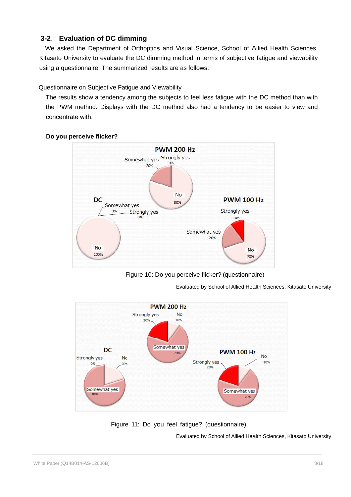#### **3-2**. **Evaluation of DC dimming dimming**

We asked the Department of Orthoptics and Visual Science, School of Allied Health Sciences, Kitasato University to evaluate the DC dimming method in terms of subjective fatigue and viewability using a questionnaire. The summarized results are as follows: We asked the Department of Orthoptics and Visual Science, School of A<br>Kitasato University to evaluate the DC dimming method in terms of subjective<br>using a questionnaire. The summarized results are as follows:<br>Questionnaire Department of Orthoptics and Visual Science, School of Allied He<br>y to evaluate the DC dimming method in terms of subjective fatigue<br>aire. The summarized results are as follows:<br>Subjective Fatigue and Viewability<br>w a tenden

#### Questionnaire on Subjective Fatigue and Viewability

ing a questionnaire. The summarized results are as follows:<br>lestionnaire on Subjective Fatigue and Viewability<br>The results show a tendency among the subjects to feel less fatigue with the DC method than with the PWM method. Displays with the DC method also had a tendency to be easier to view and concentrate with.



#### **Do you perceive flicker?**

Figure 10: Do you perceive flicker? (questionnaire)

Evaluated by School of Allied Health Sciences, Kitasato University



Figure 11: Do you feel fatigue? (questionnaire)

Evaluated by School of Allied Health Sciences, Kitasato University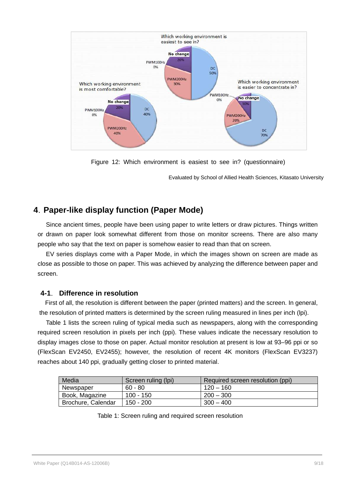

Figure 12: Which environment is easiest to see in? (questionnaire)

Evaluated by School of Allied Health Sciences, Kitasato University

# **4**.**Paper-like display function (Paper Mode)**

Since ancient times, people have been using paper to write letters or draw pictures. Things written or drawn on paper look somewhat different from those on monitor screens. There are also many people who say that the text on paper is somehow easier to read than that on screen.

EV series displays come with a Paper Mode, in which the images shown on screen are made as close as possible to those on paper. This was achieved by analyzing the difference between paper and screen.

#### **4-1**. **Difference in resolution**

First of all, the resolution is different between the paper (printed matters) and the screen. In general, the resolution of printed matters is determined by the screen ruling measured in lines per inch (lpi).

Table 1 lists the screen ruling of typical media such as newspapers, along with the corresponding required screen resolution in pixels per inch (ppi). These values indicate the necessary resolution to display images close to those on paper. Actual monitor resolution at present is low at 93–96 ppi or so (FlexScan EV2450, EV2455); however, the resolution of recent 4K monitors (FlexScan EV3237) reaches about 140 ppi, gradually getting closer to printed material.

| Media              | Screen ruling (lpi) | Required screen resolution (ppi) |
|--------------------|---------------------|----------------------------------|
| Newspaper          | $60 - 80$           | $120 - 160$                      |
| Book, Magazine     | $100 - 150$         | $200 - 300$                      |
| Brochure, Calendar | $150 - 200$         | $300 - 400$                      |

Table 1: Screen ruling and required screen resolution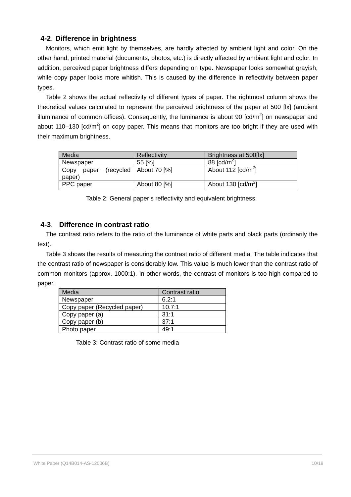#### **4-2**.**Difference in brightness**

Monitors, which emit light by themselves, are hardly affected by ambient light and color. On the other hand, printed material (documents, photos, etc.) is directly affected by ambient light and color. In addition, perceived paper brightness differs depending on type. Newspaper looks somewhat grayish, while copy paper looks more whitish. This is caused by the difference in reflectivity between paper types.

Table 2 shows the actual reflectivity of different types of paper. The rightmost column shows the theoretical values calculated to represent the perceived brightness of the paper at 500 [lx] (ambient illuminance of common offices). Consequently, the luminance is about 90 [cd/m<sup>2</sup>] on newspaper and about 110–130 [cd/m<sup>2</sup>] on copy paper. This means that monitors are too bright if they are used with their maximum brightness.

| Media         | Reflectivity             | Brightness at 500[lx]                         |
|---------------|--------------------------|-----------------------------------------------|
| Newspaper     | 55 [%]                   | 88 $[cd/m^2]$                                 |
| Copy<br>paper | (recycled   About 70 [%] | About 112 $\lceil cd/m^2 \rceil$              |
| paper)        |                          |                                               |
| PPC paper     | About 80 [%]             | About 130 $\lceil$ cd/m <sup>2</sup> $\rceil$ |

Table 2: General paper's reflectivity and equivalent brightness

#### **4-3**. **Difference in contrast ratio**

The contrast ratio refers to the ratio of the luminance of white parts and black parts (ordinarily the text).

Table 3 shows the results of measuring the contrast ratio of different media. The table indicates that the contrast ratio of newspaper is considerably low. This value is much lower than the contrast ratio of common monitors (approx. 1000:1). In other words, the contrast of monitors is too high compared to paper.

| Media                       | Contrast ratio |
|-----------------------------|----------------|
| Newspaper                   | 6.2:1          |
| Copy paper (Recycled paper) | 10.7:1         |
| Copy paper (a)              | 31:1           |
| Copy paper (b)              | 37:1           |
| Photo paper                 | 49:1           |

Table 3: Contrast ratio of some media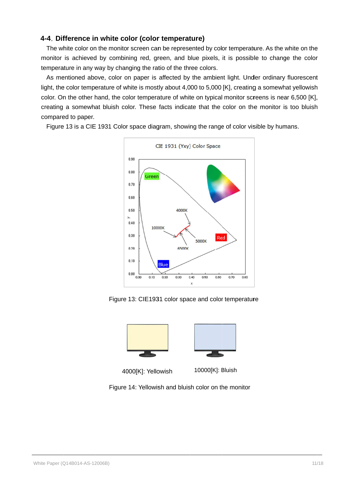#### **4-4**.**Difference in white color (color temperature) (color temperature)**

The white color on the monitor screen can be represented by color temperature. As the white on the by color temperature. the white on the The white color on the monitor screen can be represented by color temperature. As the white on the monitor is achieved by combining red, green, and blue pixels, it is possible to change the color temperature in any way by temperature in any way by changing the ratio of the three colors. monitor is achieved by combining red, green, and blue pixels, it is possible to change the color<br>temperature in any way by changing the ratio of the three colors.<br>As mentioned above, color on paper is affected by the ambie hite color on the monitor screen can be represented by color temperature. As the white on the is achieved by combining red, green, and blue pixels, it is possible to change the color ture in any way by changing the ratio o

As mentioned above, color on paper is affected by light, the color temperature of white is mostly about 4,000 to 5,000 [K], creating a somewhat yellowish color. On the other hand, the color temperature of white on typical monitor screens is near 6,500 [K], , creating a somewhat bluish color. These facts indicate that the color on the monitor is too bluish compared to paper. by changing the ratio of the three colors.<br>color on paper is affected by the ambient light. Under ordinary fluoresc<br>ire of white is mostly about 4,000 to 5,000 [K], creating a somewhat yellow<br>, the color temperature of whi

Figure 13 is a CIE 1931 Color space diagram, showing the range of color visible by humans.



Figure 13: CIE1931 color space and color





4000[K] 4000[K]: Yellowish

10000[K]: Bluish

Figure 14: Yellowish and bluish color on the monitor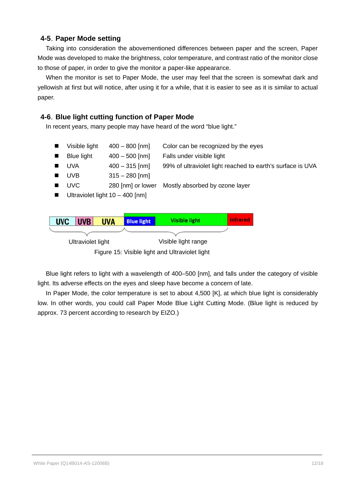#### **4-5**.**Paper Mode Mode setting**

Taking into consideration the abovementioned differences between paper and the screen, Paper Mode was developed to make the brightness, color temperature, and contrast ratio of the monitor close to those of paper, in order to give the monitor a paper like appearance. Taking into consideration the abovementioned differences between paper and the screen, Paper<br>Mode was developed to make the brightness, color temperature, and contrast ratio of the monitor close<br>to those of paper, in order Taking into consideration the abovementioned differences between paper and the screen, F<br>Mode was developed to make the brightness, color temperature, and contrast ratio of the monitor<br>to those of paper, in order to give t

to those of paper, in order to give the monitor a paper-like appearance.<br>When the monitor is set to Paper Mode, the user may feel that the screen is somewhat dark and paper. notice, after using it for a while, that it is easier to<br> **ng function of Paper Mode**<br>
people may have heard of the word "blue light."<br>
400 – 800 [nm] Color can be recognized by<br>
400 – 500 [nm] Falls under visible light When the monitor is set to Paper Mode, the user may feel that the screen is som<br>yellowish at first but will notice, after using it for a while, that it is easier to see as it is<br>paper.<br>4-6. Blue light cutting function of

#### **4-6**.**Blue light cutting Blue light cutting function of nction Paper Mode Paper Mode**

- In recent years, many people may have heard of the word "blue light."<br>■ Visible light 400 800 [nm] Color can be recognized by  $\blacksquare$ Visible light  $400 - 800$  [nm] Color can be recognized by the eyes
	- $\blacksquare$ Blue light 400 – 500 500 [nm] Falls under vis ible light
	- $\blacksquare$ UVA 400 – 315 315 [nm] 99% of ultraviolet light reached to earth's surface is UVA
	- $\blacksquare$ UVB 315 – 280 280 [nm]
	- $\blacksquare$ UVC 280 [nm] [nm] or lower Mostly absorbed by ozone layer
	- $\blacksquare$ Ultraviolet light 10 - 400 [nm]



Blue light refers to light with a wavelength of 400–500 [nm], and falls under the category of visible light. Its adverse effects on the eyes and sleep have become a concern of late. Blue light refers to light with a wavelength of 400–500 [nm], and falls under the category of visible light. Its adverse effects on the eyes and sleep have become a concern of late.<br>In Paper Mode, the color temperature is

low. In other words, you could call Paper Mode Blue Light Cutting Mode. (Blue light is reduced by approx. 73 percent according to research by EIZO.) Ultraviolet light<br>
Figure 15: Visible light and Ultraviolet light<br>
Blue light refers to light with a wavelength of 400–500 [nm], and falls under the<br>
light. Its adverse effects on the eyes and sleep have become a concern o Figure 15: Visible light and Ultraviolet light<br>
ue light refers to light with a wavelength of 400–500 [nm], and falls under the category of visible<br>
Its adverse effects on the eyes and sleep have become a concern of late.<br> lue light refers to light with a wavelength of 400–500 [nm], and falls under the category of visil<br>Its adverse effects on the eyes and sleep have become a concern of late.<br>Paper Mode, the color temperature is set to about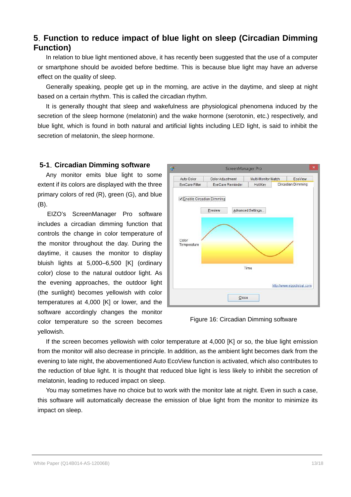# **5**.**Function to reduce impact of blue light on sleep (Circadian Dimming Function)**

In relation to blue light mentioned above, it has recently been suggested that the use of a computer or smartphone should be avoided before bedtime. This is because blue light may have an adverse effect on the quality of sleep.

Generally speaking, people get up in the morning, are active in the daytime, and sleep at night based on a certain rhythm. This is called the circadian rhythm.

It is generally thought that sleep and wakefulness are physiological phenomena induced by the secretion of the sleep hormone (melatonin) and the wake hormone (serotonin, etc.) respectively, and blue light, which is found in both natural and artificial lights including LED light, is said to inhibit the secretion of melatonin, the sleep hormone.

#### **5-1**.**Circadian Dimming software**

Any monitor emits blue light to some extent if its colors are displayed with the three primary colors of red (R), green (G), and blue (B).

EIZO's ScreenManager Pro software includes a circadian dimming function that controls the change in color temperature of the monitor throughout the day. During the daytime, it causes the monitor to display bluish lights at 5,000–6,500 [K] (ordinary color) close to the natural outdoor light. As the evening approaches, the outdoor light (the sunlight) becomes yellowish with color temperatures at 4,000 [K] or lower, and the software accordingly changes the monitor color temperature so the screen becomes yellowish.



Figure 16: Circadian Dimming software

If the screen becomes yellowish with color temperature at 4,000 [K] or so, the blue light emission from the monitor will also decrease in principle. In addition, as the ambient light becomes dark from the evening to late night, the abovementioned Auto EcoView function is activated, which also contributes to the reduction of blue light. It is thought that reduced blue light is less likely to inhibit the secretion of melatonin, leading to reduced impact on sleep.

You may sometimes have no choice but to work with the monitor late at night. Even in such a case, this software will automatically decrease the emission of blue light from the monitor to minimize its impact on sleep.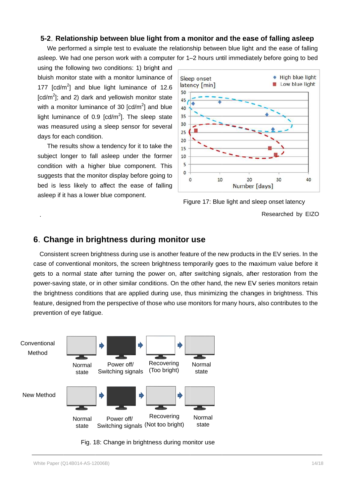#### **5-2. Relationship between blue light from a monitor and the ease of falling asleep**

We performed a simple test to evaluate the relationship between blue light and the ease of falling<br>؛ep. We had one person work with a computer for 1–2 hours until immediately before going to bed asleep. We had one person work with a computer for 1–2 hours until immediately before going to bed

using the following two conditions: 1) bright and bluish monitor state with a monitor luminance of using the following two conditions: 1) bright and<br>bluish monitor state with a monitor luminance of<br>177 [cd/m<sup>2</sup>] and blue light luminance of 12.6 [cd/m<sup>2</sup>]; and 2) dark and yellowish monitor state with a monitor luminance of 30  $[cd/m^2]$  and blue light luminance of 0.9  $\left[\text{cd/m}^2\right]$ . The sleep state was measured using a sleep sensor for several days for each condition. using the following two conditions: 1) bright and<br>bluish monitor state with a monitor luminance of<br>177 [cd/m<sup>2</sup>]; and 2) dark and yellowish monitor state<br>with a monitor luminance of 30 [cd/m<sup>2</sup>] and blue<br>light luminance o

The results show a tendency for it to take the subject longer to fall asleep under the former condition with a higher blue component. This suggests that the monitor display before going to bed is less likely to affect the ease of falling asleep if it has a lower blue compo light luminance of 0.9 [cd/m<sup>2</sup>]. The sleep<br>was measured using a sleep sensor for se<br>days for each condition.<br>The results show a tendency for it to tak<br>subject longer to fall asleep under the fc<br>condition with a higher blu

.



#### **6. Change in brightness during monitor use**

Consistent screen brightness during use is another feature of the new products in the EV series. In the case of conventional monitors, the screen brightness temporarily goes to the gets to a normal state after turning the power on, after switching signals, after restoration from the<br>power-saving state, or in other similar conditions. On the other hand, the new EV series monitors retain power-saving state, or in other similar conditions. On the other hand, the new EV series monitors retain power-saving state, or in other similar conditions. On the other hand, the new EV series monitors retain<br>the brightness conditions that are applied during use, thus minimizing the changes in brightness. This the brightness conditions that are applied during use, thus minimizing the changes in brightness. This<br>feature, designed from the perspective of those who use monitors for many hours, also contributes to the prevention of eye fatigue. Researched by EIZO<br> **6. Change in brightness during monitor use**<br>
Consistent screen brightness during use is another feature of the new products in the EV series. In the<br>
case of conventional monitors, the screen brightnes Figure 17: Blue light and sleep onset latency<br>Researched by EIZO<br>Researched by EIZO<br>Insistent screen brightness during use is another feature of the new products in the EV series. In the<br>of conventional monitors, the scree Figure 17: Blue light and sleep onset latency<br>Researched by<br>**htness during monitor use**<br>the new products in the EV series. In<br>phitness during use is another feature of the new products in the EV series. In<br>phitors, the scr Researched by E<br> **6. Change in brightness during monitor use**<br>
Consistent screen brightness during use is another feature of the new products in the EV series. In<br>
case of conventional monitors, the screen brightness tempo



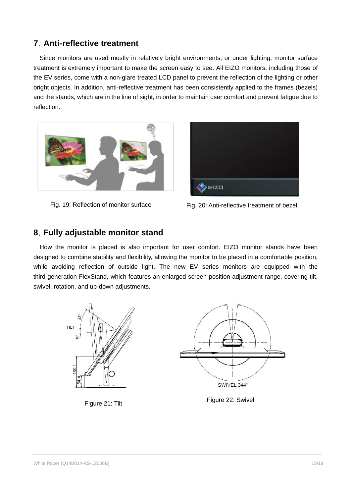# **7**.**Anti-reflective treatment**

Since monitors are used mostly in relatively bright environments, or under lighting, monitor surface treatment is extremely important to make the screen easy to see. All EIZO monitors, including those of the EV series, come with a non-glare treated LCD panel to prevent the reflection of the lighting or other bright objects. In addition, anti-reflective treatment has been consistently applied to the frames (bezels) and the stands, which are in the line of sight, in order to maintain user comfort and prevent fatigue due to reflection.



Fig. 19: Reflection of monitor surface



Fig. 20: Anti-reflective treatment of bezel

# **8**.**Fully adjustable monitor stand**

How the monitor is placed is also important for user comfort. EIZO monitor stands have been designed to combine stability and flexibility, allowing the monitor to be placed in a comfortable position, while avoiding reflection of outside light. The new EV series monitors are equipped with the third-generation FlexStand, which features an enlarged screen position adjustment range, covering tilt, swivel, rotation, and up-down adjustments.

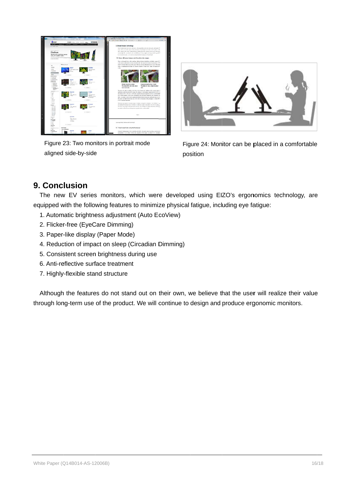

Figure 23: Two monitors in portrait mode aligned side side-by-side



Figure 23: Two monitors in portrait mode<br>
aligned side-by-side<br>
position<br> **Conclusion**<br>
The new EV series monitors, which were developed using EIZO's ergonomics technology, position Figure 24: Monitor can be placed in a comfortable

# **9. Conclusion Conclusion**

equipped with the following features to minimize physical fatigue, including eye fatigue: e new EV series monitors, which were devel<br>pped with the following features to minimize phys<br>Automatic brightness adjustment (Auto EcoView)<br>Flicker-free (EyeCare Dimming) side-by-side<br> **Lision**<br>
EV series monitors, which were developed using EIZO's ergonomics technology, are<br>
th the following features to minimize physical fatigue, including eye fatigue:<br>
tic brightness adjustment (Auto EcoV Figure 24: Monitor can be placed in a comfortable<br>de-by-side<br>position<br>**SiON**<br>**SiON**<br>the following features to minimize physical fatigue, including eye fatigue:<br>to the following features to minimize physical fatigue, includ with the following features to minimize physical fatigue, including eye fatigue: Figure 23: Two monitors in portrait mode<br>
Figure 24: Monitor<br>
position<br>
Ponce new EV series monitors, which were developed using EIZO'<br>
pped with the following features to minimize physical fatigue, includin<br>
Automatic bri Figure 23: Two monitors in portrait mode<br>
Figure 24: Monitor can be placed in a comfortable<br>
aligned side-by-side<br>
position<br>
The new EV series monitors, which were developed using EIZO's ergonomics technology, are<br>
equippe be place<br>gonomic<br>re fatigue<br>user will

- 1. Automatic brightness adjustment (Auto EcoView) e following features to minimize physical<br>rightness adjustment (Auto EcoView)<br>(EyeCare Dimming)
- 2. Flicker-free (EyeCare Dimming)
- 2. Flicker-free (EyeCare Dimming)<br>3. Paper-like display (Paper Mode)
- 4. Reduction of impact on sleep (Circadian Dimming) like display (Paper Modion of impact on sleep<br>tent screen brightness<br>ilective surface treatme<br>flexible stand structure
- 5. Consistent screen brightness during use
- 6. Anti-reflective surface treatment
- 7. Highly Highly-flexible stand structure

Although the features do not stand out on their own, we believe that the user will realize their value Although the features do not stand out on their own, we believe that the user will realize their<br>through long-term use of the product. We will continue to design and produce ergonomic monitors. uipped with the following features to minimize physical fatigue, including eye fatigue:<br>1. Automatic brightness adjustment (Auto EcoView)<br>2. Flicker-free (EyeCare Dimming)<br>3. Paper-like display (Paper Mode)<br>4. Reduction of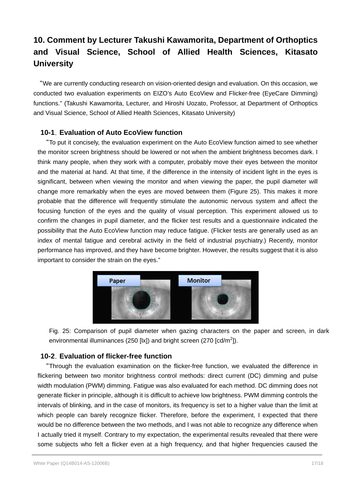# **10. Comment by Lecturer Takushi Kawamorita, Department of Orthoptics and Visual Science, School of Allied Health Sciences, Kitasato University**

"We are currently conducting research on vision-oriented design and evaluation. On this occasion, we conducted two evaluation experiments on EIZO's Auto EcoView and Flicker-free (EyeCare Dimming) functions." (Takushi Kawamorita, Lecturer, and Hiroshi Uozato, Professor, at Department of Orthoptics and Visual Science, School of Allied Health Sciences, Kitasato University)

#### **10-1**.**Evaluation of Auto EcoView function**

"To put it concisely, the evaluation experiment on the Auto EcoView function aimed to see whether the monitor screen brightness should be lowered or not when the ambient brightness becomes dark. I think many people, when they work with a computer, probably move their eyes between the monitor and the material at hand. At that time, if the difference in the intensity of incident light in the eyes is significant, between when viewing the monitor and when viewing the paper, the pupil diameter will change more remarkably when the eyes are moved between them (Figure 25). This makes it more probable that the difference will frequently stimulate the autonomic nervous system and affect the focusing function of the eyes and the quality of visual perception. This experiment allowed us to confirm the changes in pupil diameter, and the flicker test results and a questionnaire indicated the possibility that the Auto EcoView function may reduce fatigue. (Flicker tests are generally used as an index of mental fatigue and cerebral activity in the field of industrial psychiatry.) Recently, monitor performance has improved, and they have become brighter. However, the results suggest that it is also important to consider the strain on the eyes."



Fig. 25: Comparison of pupil diameter when gazing characters on the paper and screen, in dark environmental illuminances (250 [lx]) and bright screen (270 [cd/m<sup>2</sup>]).

#### **10-2**.**Evaluation of flicker-free function**

"Through the evaluation examination on the flicker-free function, we evaluated the difference in flickering between two monitor brightness control methods: direct current (DC) dimming and pulse width modulation (PWM) dimming. Fatigue was also evaluated for each method. DC dimming does not generate flicker in principle, although it is difficult to achieve low brightness. PWM dimming controls the intervals of blinking, and in the case of monitors, its frequency is set to a higher value than the limit at which people can barely recognize flicker. Therefore, before the experiment, I expected that there would be no difference between the two methods, and I was not able to recognize any difference when I actually tried it myself. Contrary to my expectation, the experimental results revealed that there were some subjects who felt a flicker even at a high frequency, and that higher frequencies caused the